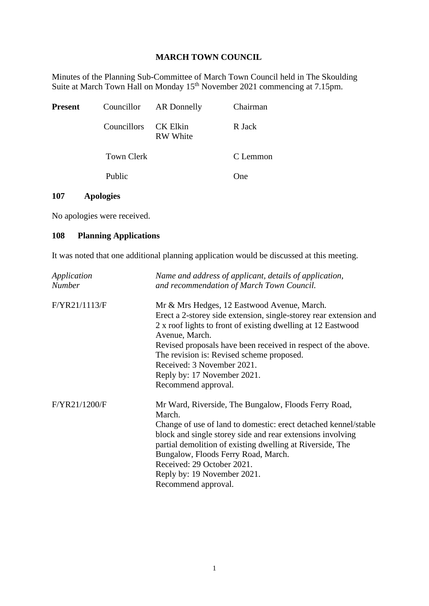## **MARCH TOWN COUNCIL**

Minutes of the Planning Sub-Committee of March Town Council held in The Skoulding Suite at March Town Hall on Monday 15<sup>th</sup> November 2021 commencing at 7.15pm.

| Present |                      | Councillor AR Donnelly | Chairman |
|---------|----------------------|------------------------|----------|
|         | Councillors CK Elkin | <b>RW</b> White        | R Jack   |
|         | Town Clerk           |                        | C Lemmon |
|         | Public               |                        | One)     |

## **107 Apologies**

No apologies were received.

## **108 Planning Applications**

It was noted that one additional planning application would be discussed at this meeting.

| Application<br><b>Number</b> | Name and address of applicant, details of application,<br>and recommendation of March Town Council. |  |  |
|------------------------------|-----------------------------------------------------------------------------------------------------|--|--|
| F/YR21/1113/F                | Mr & Mrs Hedges, 12 Eastwood Avenue, March.                                                         |  |  |
|                              | Erect a 2-storey side extension, single-storey rear extension and                                   |  |  |
|                              | 2 x roof lights to front of existing dwelling at 12 Eastwood                                        |  |  |
|                              | Avenue, March.                                                                                      |  |  |
|                              | Revised proposals have been received in respect of the above.                                       |  |  |
|                              | The revision is: Revised scheme proposed.                                                           |  |  |
|                              | Received: 3 November 2021.                                                                          |  |  |
|                              | Reply by: 17 November 2021.                                                                         |  |  |
|                              | Recommend approval.                                                                                 |  |  |
| F/YR21/1200/F                | Mr Ward, Riverside, The Bungalow, Floods Ferry Road,                                                |  |  |
|                              | March.                                                                                              |  |  |
|                              | Change of use of land to domestic: erect detached kennel/stable                                     |  |  |
|                              | block and single storey side and rear extensions involving                                          |  |  |
|                              | partial demolition of existing dwelling at Riverside, The                                           |  |  |
|                              | Bungalow, Floods Ferry Road, March.                                                                 |  |  |
|                              | Received: 29 October 2021.                                                                          |  |  |
|                              | Reply by: 19 November 2021.                                                                         |  |  |
|                              | Recommend approval.                                                                                 |  |  |